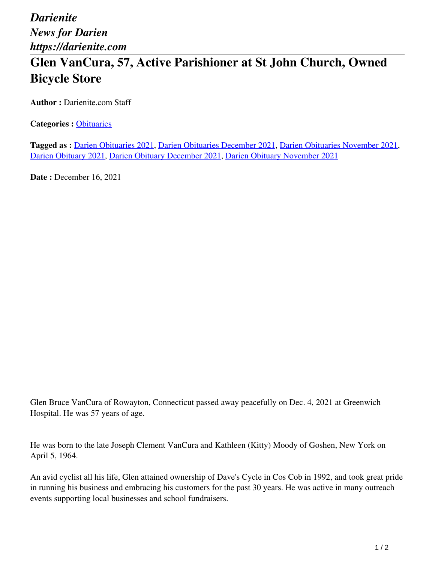*Darienite News for Darien https://darienite.com*

## **Glen VanCura, 57, Active Parishioner at St John Church, Owned Bicycle Store**

**Author :** Darienite.com Staff

**Categories :** [Obituaries](https://darienite.com/category/obituaries)

**Tagged as :** Darien Obituaries 2021, Darien Obituaries December 2021, Darien Obituaries November 2021, Darien Obituary 2021, Darien Obituary December 2021, Darien Obituary November 2021

**Date : December 16, 2021** 

Glen Bruce VanCura of Rowayton, Connecticut passed away peacefully on Dec. 4, 2021 at Greenwich Hospital. He was 57 years of age.

He was born to the late Joseph Clement VanCura and Kathleen (Kitty) Moody of Goshen, New York on April 5, 1964.

An avid cyclist all his life, Glen attained ownership of Dave's Cycle in Cos Cob in 1992, and took great pride in running his business and embracing his customers for the past 30 years. He was active in many outreach events supporting local businesses and school fundraisers.